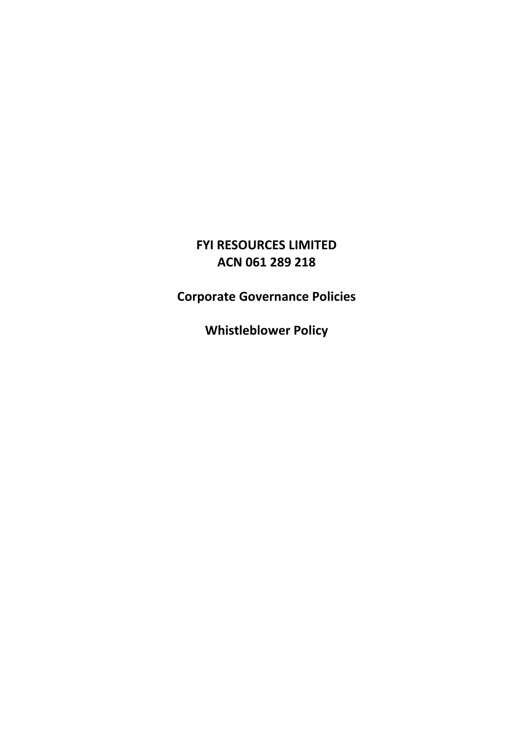# **FYI RESOURCES LIMITED ACN 061 289 218**

**Corporate Governance Policies**

**Whistleblower Policy**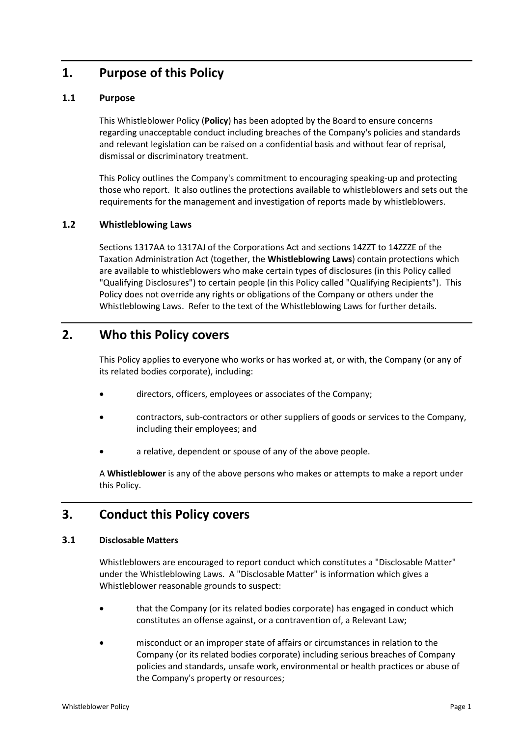# **1. Purpose of this Policy**

#### **1.1 Purpose**

This Whistleblower Policy (**Policy**) has been adopted by the Board to ensure concerns regarding unacceptable conduct including breaches of the Company's policies and standards and relevant legislation can be raised on a confidential basis and without fear of reprisal, dismissal or discriminatory treatment.

This Policy outlines the Company's commitment to encouraging speaking-up and protecting those who report. It also outlines the protections available to whistleblowers and sets out the requirements for the management and investigation of reports made by whistleblowers.

#### **1.2 Whistleblowing Laws**

Sections 1317AA to 1317AJ of the Corporations Act and sections 14ZZT to 14ZZZE of the Taxation Administration Act (together, the **Whistleblowing Laws**) contain protections which are available to whistleblowers who make certain types of disclosures (in this Policy called "Qualifying Disclosures") to certain people (in this Policy called "Qualifying Recipients"). This Policy does not override any rights or obligations of the Company or others under the Whistleblowing Laws. Refer to the text of the Whistleblowing Laws for further details.

## **2. Who this Policy covers**

This Policy applies to everyone who works or has worked at, or with, the Company (or any of its related bodies corporate), including:

- directors, officers, employees or associates of the Company;
- contractors, sub-contractors or other suppliers of goods or services to the Company, including their employees; and
- a relative, dependent or spouse of any of the above people.

A **Whistleblower** is any of the above persons who makes or attempts to make a report under this Policy.

### **3. Conduct this Policy covers**

#### **3.1 Disclosable Matters**

Whistleblowers are encouraged to report conduct which constitutes a "Disclosable Matter" under the Whistleblowing Laws. A "Disclosable Matter" is information which gives a Whistleblower reasonable grounds to suspect:

- that the Company (or its related bodies corporate) has engaged in conduct which constitutes an offense against, or a contravention of, a Relevant Law;
- misconduct or an improper state of affairs or circumstances in relation to the Company (or its related bodies corporate) including serious breaches of Company policies and standards, unsafe work, environmental or health practices or abuse of the Company's property or resources;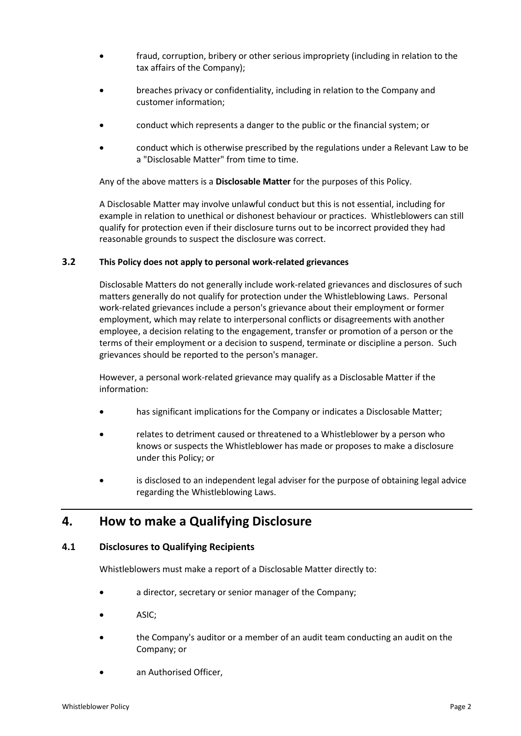- fraud, corruption, bribery or other serious impropriety (including in relation to the tax affairs of the Company);
- breaches privacy or confidentiality, including in relation to the Company and customer information;
- conduct which represents a danger to the public or the financial system; or
- conduct which is otherwise prescribed by the regulations under a Relevant Law to be a "Disclosable Matter" from time to time.

Any of the above matters is a **Disclosable Matter** for the purposes of this Policy.

A Disclosable Matter may involve unlawful conduct but this is not essential, including for example in relation to unethical or dishonest behaviour or practices. Whistleblowers can still qualify for protection even if their disclosure turns out to be incorrect provided they had reasonable grounds to suspect the disclosure was correct.

#### **3.2 This Policy does not apply to personal work-related grievances**

Disclosable Matters do not generally include work-related grievances and disclosures of such matters generally do not qualify for protection under the Whistleblowing Laws. Personal work-related grievances include a person's grievance about their employment or former employment, which may relate to interpersonal conflicts or disagreements with another employee, a decision relating to the engagement, transfer or promotion of a person or the terms of their employment or a decision to suspend, terminate or discipline a person. Such grievances should be reported to the person's manager.

However, a personal work-related grievance may qualify as a Disclosable Matter if the information:

- has significant implications for the Company or indicates a Disclosable Matter;
- relates to detriment caused or threatened to a Whistleblower by a person who knows or suspects the Whistleblower has made or proposes to make a disclosure under this Policy; or
- is disclosed to an independent legal adviser for the purpose of obtaining legal advice regarding the Whistleblowing Laws.

### **4. How to make a Qualifying Disclosure**

#### **4.1 Disclosures to Qualifying Recipients**

Whistleblowers must make a report of a Disclosable Matter directly to:

- a director, secretary or senior manager of the Company;
- ASIC;
- the Company's auditor or a member of an audit team conducting an audit on the Company; or
- an Authorised Officer,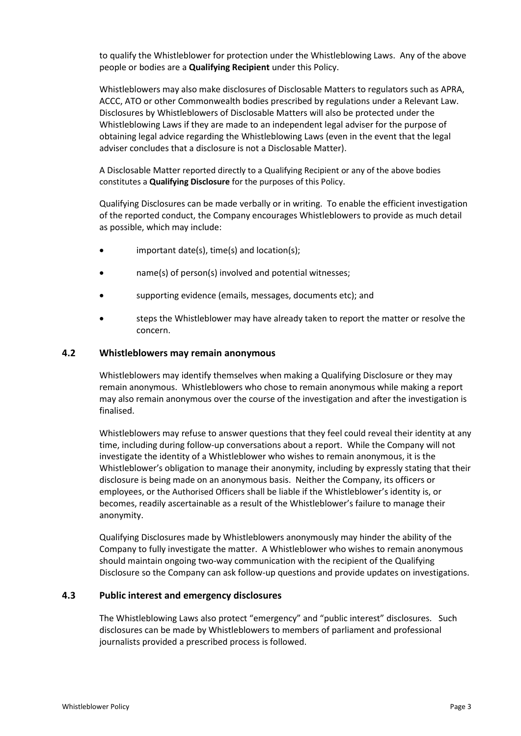to qualify the Whistleblower for protection under the Whistleblowing Laws. Any of the above people or bodies are a **Qualifying Recipient** under this Policy.

Whistleblowers may also make disclosures of Disclosable Matters to regulators such as APRA, ACCC, ATO or other Commonwealth bodies prescribed by regulations under a Relevant Law. Disclosures by Whistleblowers of Disclosable Matters will also be protected under the Whistleblowing Laws if they are made to an independent legal adviser for the purpose of obtaining legal advice regarding the Whistleblowing Laws (even in the event that the legal adviser concludes that a disclosure is not a Disclosable Matter).

A Disclosable Matter reported directly to a Qualifying Recipient or any of the above bodies constitutes a **Qualifying Disclosure** for the purposes of this Policy.

Qualifying Disclosures can be made verbally or in writing. To enable the efficient investigation of the reported conduct, the Company encourages Whistleblowers to provide as much detail as possible, which may include:

- important date(s), time(s) and location(s);
- name(s) of person(s) involved and potential witnesses;
- supporting evidence (emails, messages, documents etc); and
- steps the Whistleblower may have already taken to report the matter or resolve the concern.

#### **4.2 Whistleblowers may remain anonymous**

Whistleblowers may identify themselves when making a Qualifying Disclosure or they may remain anonymous. Whistleblowers who chose to remain anonymous while making a report may also remain anonymous over the course of the investigation and after the investigation is finalised.

Whistleblowers may refuse to answer questions that they feel could reveal their identity at any time, including during follow-up conversations about a report. While the Company will not investigate the identity of a Whistleblower who wishes to remain anonymous, it is the Whistleblower's obligation to manage their anonymity, including by expressly stating that their disclosure is being made on an anonymous basis. Neither the Company, its officers or employees, or the Authorised Officers shall be liable if the Whistleblower's identity is, or becomes, readily ascertainable as a result of the Whistleblower's failure to manage their anonymity.

Qualifying Disclosures made by Whistleblowers anonymously may hinder the ability of the Company to fully investigate the matter. A Whistleblower who wishes to remain anonymous should maintain ongoing two-way communication with the recipient of the Qualifying Disclosure so the Company can ask follow-up questions and provide updates on investigations.

#### **4.3 Public interest and emergency disclosures**

The Whistleblowing Laws also protect "emergency" and "public interest" disclosures. Such disclosures can be made by Whistleblowers to members of parliament and professional journalists provided a prescribed process is followed.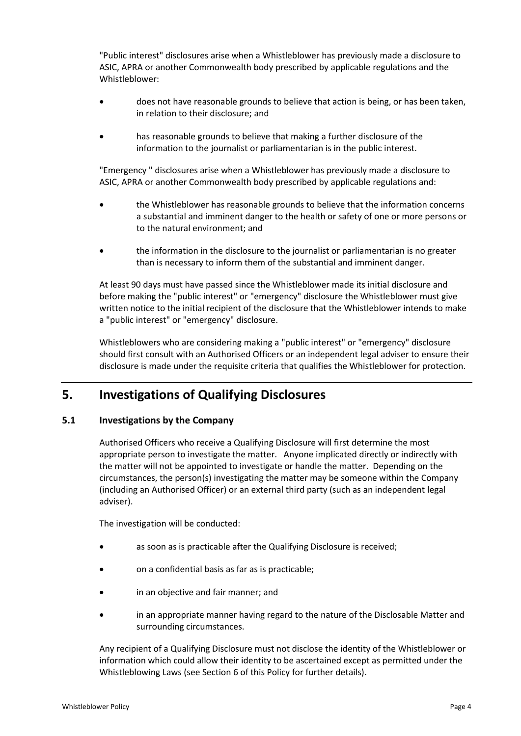"Public interest" disclosures arise when a Whistleblower has previously made a disclosure to ASIC, APRA or another Commonwealth body prescribed by applicable regulations and the Whistleblower:

- does not have reasonable grounds to believe that action is being, or has been taken, in relation to their disclosure; and
- has reasonable grounds to believe that making a further disclosure of the information to the journalist or parliamentarian is in the public interest.

"Emergency " disclosures arise when a Whistleblower has previously made a disclosure to ASIC, APRA or another Commonwealth body prescribed by applicable regulations and:

- the Whistleblower has reasonable grounds to believe that the information concerns a substantial and imminent danger to the health or safety of one or more persons or to the natural environment; and
- the information in the disclosure to the journalist or parliamentarian is no greater than is necessary to inform them of the substantial and imminent danger.

At least 90 days must have passed since the Whistleblower made its initial disclosure and before making the "public interest" or "emergency" disclosure the Whistleblower must give written notice to the initial recipient of the disclosure that the Whistleblower intends to make a "public interest" or "emergency" disclosure.

Whistleblowers who are considering making a "public interest" or "emergency" disclosure should first consult with an Authorised Officers or an independent legal adviser to ensure their disclosure is made under the requisite criteria that qualifies the Whistleblower for protection.

## **5. Investigations of Qualifying Disclosures**

#### **5.1 Investigations by the Company**

Authorised Officers who receive a Qualifying Disclosure will first determine the most appropriate person to investigate the matter. Anyone implicated directly or indirectly with the matter will not be appointed to investigate or handle the matter. Depending on the circumstances, the person(s) investigating the matter may be someone within the Company (including an Authorised Officer) or an external third party (such as an independent legal adviser).

The investigation will be conducted:

- as soon as is practicable after the Qualifying Disclosure is received;
- on a confidential basis as far as is practicable;
- in an objective and fair manner; and
- in an appropriate manner having regard to the nature of the Disclosable Matter and surrounding circumstances.

Any recipient of a Qualifying Disclosure must not disclose the identity of the Whistleblower or information which could allow their identity to be ascertained except as permitted under the Whistleblowing Laws (see Section 6 of this Policy for further details).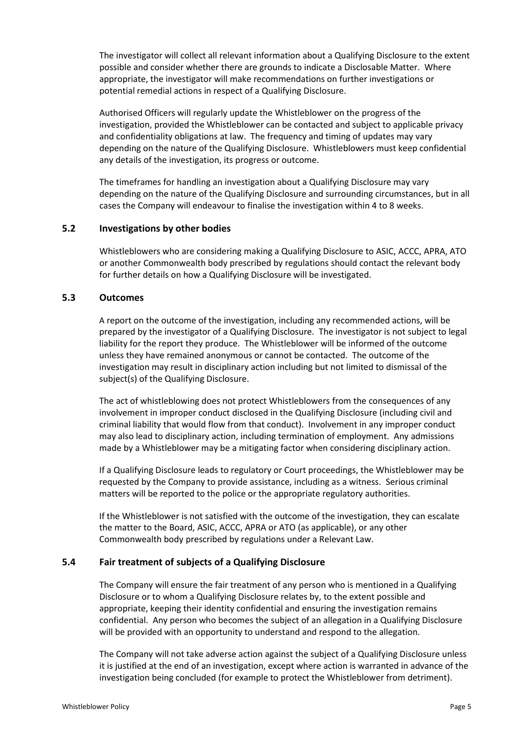The investigator will collect all relevant information about a Qualifying Disclosure to the extent possible and consider whether there are grounds to indicate a Disclosable Matter. Where appropriate, the investigator will make recommendations on further investigations or potential remedial actions in respect of a Qualifying Disclosure.

Authorised Officers will regularly update the Whistleblower on the progress of the investigation, provided the Whistleblower can be contacted and subject to applicable privacy and confidentiality obligations at law. The frequency and timing of updates may vary depending on the nature of the Qualifying Disclosure. Whistleblowers must keep confidential any details of the investigation, its progress or outcome.

The timeframes for handling an investigation about a Qualifying Disclosure may vary depending on the nature of the Qualifying Disclosure and surrounding circumstances, but in all cases the Company will endeavour to finalise the investigation within 4 to 8 weeks.

#### **5.2 Investigations by other bodies**

Whistleblowers who are considering making a Qualifying Disclosure to ASIC, ACCC, APRA, ATO or another Commonwealth body prescribed by regulations should contact the relevant body for further details on how a Qualifying Disclosure will be investigated.

#### **5.3 Outcomes**

A report on the outcome of the investigation, including any recommended actions, will be prepared by the investigator of a Qualifying Disclosure. The investigator is not subject to legal liability for the report they produce. The Whistleblower will be informed of the outcome unless they have remained anonymous or cannot be contacted. The outcome of the investigation may result in disciplinary action including but not limited to dismissal of the subject(s) of the Qualifying Disclosure.

The act of whistleblowing does not protect Whistleblowers from the consequences of any involvement in improper conduct disclosed in the Qualifying Disclosure (including civil and criminal liability that would flow from that conduct). Involvement in any improper conduct may also lead to disciplinary action, including termination of employment. Any admissions made by a Whistleblower may be a mitigating factor when considering disciplinary action.

If a Qualifying Disclosure leads to regulatory or Court proceedings, the Whistleblower may be requested by the Company to provide assistance, including as a witness. Serious criminal matters will be reported to the police or the appropriate regulatory authorities.

If the Whistleblower is not satisfied with the outcome of the investigation, they can escalate the matter to the Board, ASIC, ACCC, APRA or ATO (as applicable), or any other Commonwealth body prescribed by regulations under a Relevant Law.

#### **5.4 Fair treatment of subjects of a Qualifying Disclosure**

The Company will ensure the fair treatment of any person who is mentioned in a Qualifying Disclosure or to whom a Qualifying Disclosure relates by, to the extent possible and appropriate, keeping their identity confidential and ensuring the investigation remains confidential. Any person who becomes the subject of an allegation in a Qualifying Disclosure will be provided with an opportunity to understand and respond to the allegation.

The Company will not take adverse action against the subject of a Qualifying Disclosure unless it is justified at the end of an investigation, except where action is warranted in advance of the investigation being concluded (for example to protect the Whistleblower from detriment).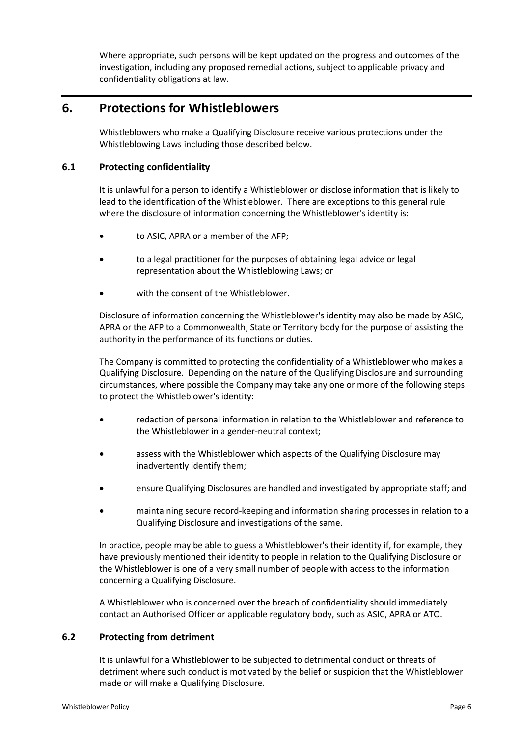Where appropriate, such persons will be kept updated on the progress and outcomes of the investigation, including any proposed remedial actions, subject to applicable privacy and confidentiality obligations at law.

## **6. Protections for Whistleblowers**

Whistleblowers who make a Qualifying Disclosure receive various protections under the Whistleblowing Laws including those described below.

#### **6.1 Protecting confidentiality**

It is unlawful for a person to identify a Whistleblower or disclose information that is likely to lead to the identification of the Whistleblower. There are exceptions to this general rule where the disclosure of information concerning the Whistleblower's identity is:

- to ASIC, APRA or a member of the AFP;
- to a legal practitioner for the purposes of obtaining legal advice or legal representation about the Whistleblowing Laws; or
- with the consent of the Whistleblower.

Disclosure of information concerning the Whistleblower's identity may also be made by ASIC, APRA or the AFP to a Commonwealth, State or Territory body for the purpose of assisting the authority in the performance of its functions or duties.

The Company is committed to protecting the confidentiality of a Whistleblower who makes a Qualifying Disclosure. Depending on the nature of the Qualifying Disclosure and surrounding circumstances, where possible the Company may take any one or more of the following steps to protect the Whistleblower's identity:

- redaction of personal information in relation to the Whistleblower and reference to the Whistleblower in a gender-neutral context;
- assess with the Whistleblower which aspects of the Qualifying Disclosure may inadvertently identify them;
- ensure Qualifying Disclosures are handled and investigated by appropriate staff; and
- maintaining secure record-keeping and information sharing processes in relation to a Qualifying Disclosure and investigations of the same.

In practice, people may be able to guess a Whistleblower's their identity if, for example, they have previously mentioned their identity to people in relation to the Qualifying Disclosure or the Whistleblower is one of a very small number of people with access to the information concerning a Qualifying Disclosure.

A Whistleblower who is concerned over the breach of confidentiality should immediately contact an Authorised Officer or applicable regulatory body, such as ASIC, APRA or ATO.

#### **6.2 Protecting from detriment**

It is unlawful for a Whistleblower to be subjected to detrimental conduct or threats of detriment where such conduct is motivated by the belief or suspicion that the Whistleblower made or will make a Qualifying Disclosure.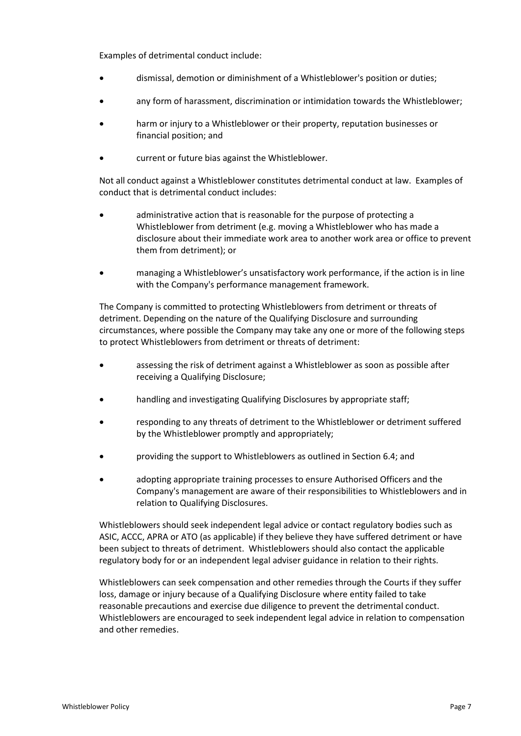Examples of detrimental conduct include:

- dismissal, demotion or diminishment of a Whistleblower's position or duties;
- any form of harassment, discrimination or intimidation towards the Whistleblower;
- harm or injury to a Whistleblower or their property, reputation businesses or financial position; and
- current or future bias against the Whistleblower.

Not all conduct against a Whistleblower constitutes detrimental conduct at law. Examples of conduct that is detrimental conduct includes:

- administrative action that is reasonable for the purpose of protecting a Whistleblower from detriment (e.g. moving a Whistleblower who has made a disclosure about their immediate work area to another work area or office to prevent them from detriment); or
- managing a Whistleblower's unsatisfactory work performance, if the action is in line with the Company's performance management framework.

The Company is committed to protecting Whistleblowers from detriment or threats of detriment. Depending on the nature of the Qualifying Disclosure and surrounding circumstances, where possible the Company may take any one or more of the following steps to protect Whistleblowers from detriment or threats of detriment:

- assessing the risk of detriment against a Whistleblower as soon as possible after receiving a Qualifying Disclosure;
- handling and investigating Qualifying Disclosures by appropriate staff;
- responding to any threats of detriment to the Whistleblower or detriment suffered by the Whistleblower promptly and appropriately;
- providing the support to Whistleblowers as outlined in Section 6.4; and
- adopting appropriate training processes to ensure Authorised Officers and the Company's management are aware of their responsibilities to Whistleblowers and in relation to Qualifying Disclosures.

Whistleblowers should seek independent legal advice or contact regulatory bodies such as ASIC, ACCC, APRA or ATO (as applicable) if they believe they have suffered detriment or have been subject to threats of detriment. Whistleblowers should also contact the applicable regulatory body for or an independent legal adviser guidance in relation to their rights.

Whistleblowers can seek compensation and other remedies through the Courts if they suffer loss, damage or injury because of a Qualifying Disclosure where entity failed to take reasonable precautions and exercise due diligence to prevent the detrimental conduct. Whistleblowers are encouraged to seek independent legal advice in relation to compensation and other remedies.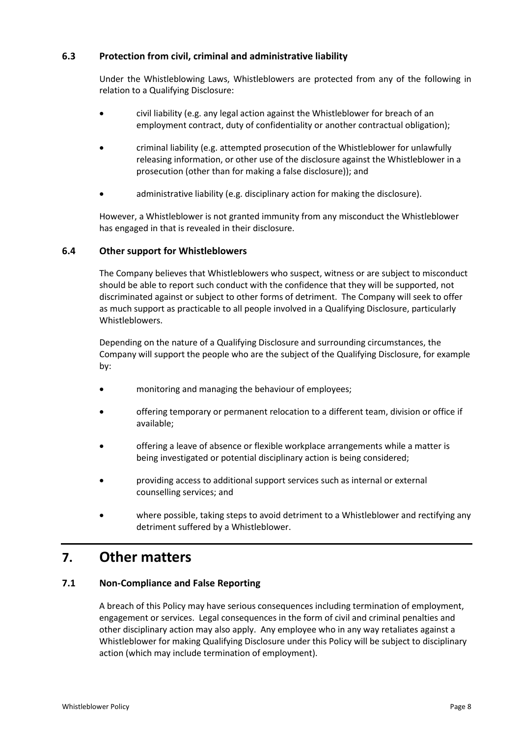#### **6.3 Protection from civil, criminal and administrative liability**

Under the Whistleblowing Laws, Whistleblowers are protected from any of the following in relation to a Qualifying Disclosure:

- civil liability (e.g. any legal action against the Whistleblower for breach of an employment contract, duty of confidentiality or another contractual obligation);
- criminal liability (e.g. attempted prosecution of the Whistleblower for unlawfully releasing information, or other use of the disclosure against the Whistleblower in a prosecution (other than for making a false disclosure)); and
- administrative liability (e.g. disciplinary action for making the disclosure).

However, a Whistleblower is not granted immunity from any misconduct the Whistleblower has engaged in that is revealed in their disclosure.

#### **6.4 Other support for Whistleblowers**

The Company believes that Whistleblowers who suspect, witness or are subject to misconduct should be able to report such conduct with the confidence that they will be supported, not discriminated against or subject to other forms of detriment. The Company will seek to offer as much support as practicable to all people involved in a Qualifying Disclosure, particularly Whistleblowers.

Depending on the nature of a Qualifying Disclosure and surrounding circumstances, the Company will support the people who are the subject of the Qualifying Disclosure, for example by:

- monitoring and managing the behaviour of employees;
- offering temporary or permanent relocation to a different team, division or office if available;
- offering a leave of absence or flexible workplace arrangements while a matter is being investigated or potential disciplinary action is being considered;
- providing access to additional support services such as internal or external counselling services; and
- where possible, taking steps to avoid detriment to a Whistleblower and rectifying any detriment suffered by a Whistleblower.

# **7. Other matters**

#### **7.1 Non-Compliance and False Reporting**

A breach of this Policy may have serious consequences including termination of employment, engagement or services. Legal consequences in the form of civil and criminal penalties and other disciplinary action may also apply. Any employee who in any way retaliates against a Whistleblower for making Qualifying Disclosure under this Policy will be subject to disciplinary action (which may include termination of employment).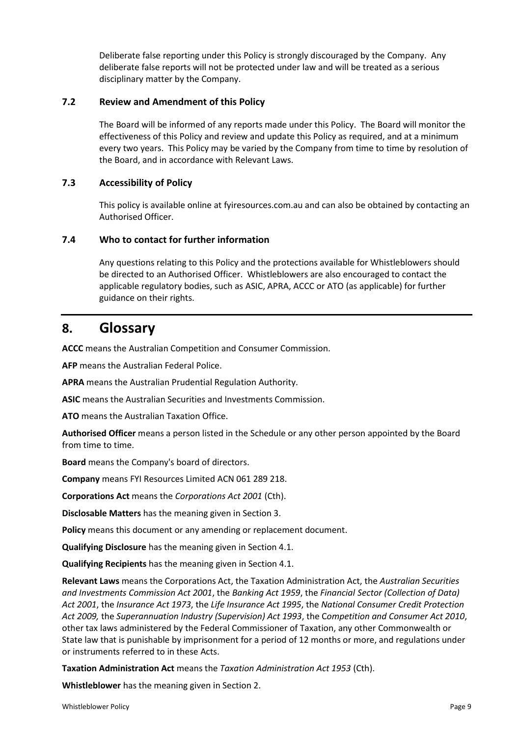Deliberate false reporting under this Policy is strongly discouraged by the Company. Any deliberate false reports will not be protected under law and will be treated as a serious disciplinary matter by the Company.

#### **7.2 Review and Amendment of this Policy**

The Board will be informed of any reports made under this Policy. The Board will monitor the effectiveness of this Policy and review and update this Policy as required, and at a minimum every two years. This Policy may be varied by the Company from time to time by resolution of the Board, and in accordance with Relevant Laws.

#### **7.3 Accessibility of Policy**

This policy is available online at fyiresources.com.au and can also be obtained by contacting an Authorised Officer.

#### **7.4 Who to contact for further information**

Any questions relating to this Policy and the protections available for Whistleblowers should be directed to an Authorised Officer. Whistleblowers are also encouraged to contact the applicable regulatory bodies, such as ASIC, APRA, ACCC or ATO (as applicable) for further guidance on their rights.

## **8. Glossary**

**ACCC** means the Australian Competition and Consumer Commission.

**AFP** means the Australian Federal Police.

**APRA** means the Australian Prudential Regulation Authority.

**ASIC** means the Australian Securities and Investments Commission.

**ATO** means the Australian Taxation Office.

**Authorised Officer** means a person listed in the Schedule or any other person appointed by the Board from time to time.

**Board** means the Company's board of directors.

**Company** means FYI Resources Limited ACN 061 289 218.

**Corporations Act** means the *Corporations Act 2001* (Cth).

**Disclosable Matters** has the meaning given in Section 3.

**Policy** means this document or any amending or replacement document.

**Qualifying Disclosure** has the meaning given in Section 4.1.

**Qualifying Recipients** has the meaning given in Section 4.1.

**Relevant Laws** means the Corporations Act, the Taxation Administration Act, the *Australian Securities and Investments Commission Act 2001*, the *Banking Act 1959*, the *Financial Sector (Collection of Data) Act 2001*, the *Insurance Act 1973*, the *Life Insurance Act 1995*, the *National Consumer Credit Protection Act 2009,* the *Superannuation Industry (Supervision) Act 1993*, the C*ompetition and Consumer Act 2010*, other tax laws administered by the Federal Commissioner of Taxation, any other Commonwealth or State law that is punishable by imprisonment for a period of 12 months or more, and regulations under or instruments referred to in these Acts.

**Taxation Administration Act** means the *Taxation Administration Act 1953* (Cth).

**Whistleblower** has the meaning given in Section 2.